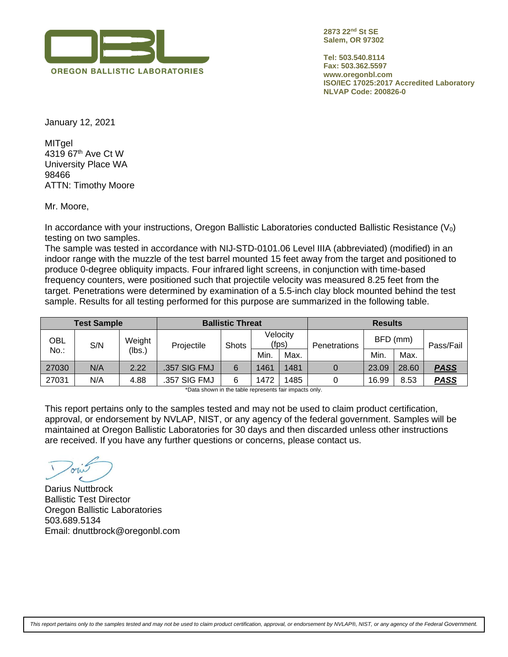

**2873 22nd St SE Salem, OR 97302**

**Tel: 503.540.8114 Fax: 503.362.5597 www.oregonbl.com ISO/IEC 17025:2017 Accredited Laboratory NLVAP Code: 200826-0**

January 12, 2021

MITgel 4319 67th Ave Ct W University Place WA 98466 ATTN: Timothy Moore

Mr. Moore,

In accordance with your instructions, Oregon Ballistic Laboratories conducted Ballistic Resistance  $(V<sub>0</sub>)$ testing on two samples.

The sample was tested in accordance with NIJ-STD-0101.06 Level IIIA (abbreviated) (modified) in an indoor range with the muzzle of the test barrel mounted 15 feet away from the target and positioned to produce 0-degree obliquity impacts. Four infrared light screens, in conjunction with time-based frequency counters, were positioned such that projectile velocity was measured 8.25 feet from the target. Penetrations were determined by examination of a 5.5-inch clay block mounted behind the test sample. Results for all testing performed for this purpose are summarized in the following table.

|       | <b>Test Sample</b> |                  | <b>Ballistic Threat</b> |              | <b>Results</b>    |      |              |          |       |             |  |
|-------|--------------------|------------------|-------------------------|--------------|-------------------|------|--------------|----------|-------|-------------|--|
| OBL   | S/N                | Weight<br>(lbs.) | Projectile              | <b>Shots</b> | Velocity<br>(fps) |      | Penetrations | BFD (mm) |       | Pass/Fail   |  |
| No.:  |                    |                  |                         |              | Min.              | Max. |              | Min.     | Max.  |             |  |
| 27030 | N/A                | 2.22             | .357 SIG FMJ            | 6            | 1461              | 1481 |              | 23.09    | 28.60 | <b>PASS</b> |  |
| 27031 | N/A                | 4.88             | .357 SIG FMJ            | 6            | 1485<br>1472      |      |              | 16.99    | 8.53  | <b>PASS</b> |  |

\*Data shown in the table represents fair impacts only.

This report pertains only to the samples tested and may not be used to claim product certification, approval, or endorsement by NVLAP, NIST, or any agency of the federal government. Samples will be maintained at Oregon Ballistic Laboratories for 30 days and then discarded unless other instructions are received. If you have any further questions or concerns, please contact us.

Darius Nuttbrock Ballistic Test Director Oregon Ballistic Laboratories 503.689.5134 Email: dnuttbrock@oregonbl.com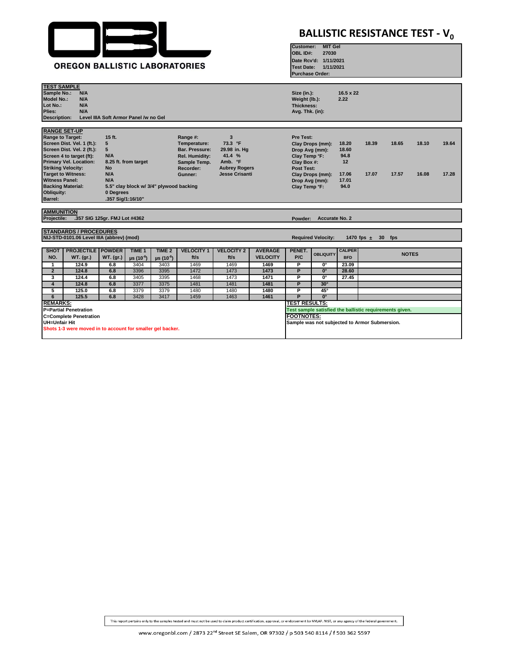

## **BALLISTIC RESISTANCE TEST - V<sub>0</sub>**

**MIT Gel**

**Customer:**

| <b>OREGON BALLISTIC LABORATORIES</b>                                                                                                                                                                                                                                                                                                                                                                                                                                                                                                                                                                                                                                              |                                                                                             |                                       |                                                          |                                                          |                                   |                                   |                                                         |                                                                                                              | OBL ID#:<br>27030<br>Date Rcv'd: 1/11/2021<br>1/11/2021<br><b>Test Date:</b><br><b>Purchase Order:</b> |                                                        |                      |                |                |                |  |  |
|-----------------------------------------------------------------------------------------------------------------------------------------------------------------------------------------------------------------------------------------------------------------------------------------------------------------------------------------------------------------------------------------------------------------------------------------------------------------------------------------------------------------------------------------------------------------------------------------------------------------------------------------------------------------------------------|---------------------------------------------------------------------------------------------|---------------------------------------|----------------------------------------------------------|----------------------------------------------------------|-----------------------------------|-----------------------------------|---------------------------------------------------------|--------------------------------------------------------------------------------------------------------------|--------------------------------------------------------------------------------------------------------|--------------------------------------------------------|----------------------|----------------|----------------|----------------|--|--|
| <b>TEST SAMPLE</b><br>Sample No.:<br><b>Model No.:</b><br>Lot No.:<br>Plies:<br><b>Description:</b>                                                                                                                                                                                                                                                                                                                                                                                                                                                                                                                                                                               | N/A<br>N/A<br>N/A<br>N/A                                                                    | Level IIIA Soft Armor Panel /w no Gel |                                                          |                                                          |                                   |                                   |                                                         | Size (in.):<br>Weight (lb.):<br>Thickness:<br>Avg. Thk. (in):                                                |                                                                                                        | 16.5 x 22<br>2.22                                      |                      |                |                |                |  |  |
| <b>RANGE SET-UP</b><br>15 ft.<br>3<br>Range to Target:<br>Range #:<br>73.3 °F<br>Screen Dist. Vel. 1 (ft.):<br>5<br>Temperature:<br>Screen Dist. Vel. 2 (ft.):<br>5<br>29.98 in. Hg<br>Bar. Pressure:<br>41.4 %<br>N/A<br>Screen 4 to target (ft):<br>Rel. Humidity:<br><b>Primary Vel. Location:</b><br>Amb. °F<br>8.25 ft. from target<br>Sample Temp.<br><b>Striking Velocity:</b><br><b>No</b><br>Recorder:<br><b>Aubrey Rogers</b><br><b>Target to Witness:</b><br>N/A<br><b>Jesse Crisanti</b><br>Gunner:<br><b>Witness Panel:</b><br>N/A<br><b>Backing Material:</b><br>5.5" clay block w/ 3/4" plywood backing<br>Obliquity:<br>0 Degrees<br>Barrel:<br>.357 Sig/1:16/10" |                                                                                             |                                       |                                                          |                                                          |                                   |                                   |                                                         | Pre Test:<br>Drop Avg (mm):<br>Clay Temp °F:<br>Clay Box #:<br>Post Test:<br>Drop Avg (mm):<br>Clay Temp °F: | Clay Drops (mm):<br>Clay Drops (mm):                                                                   | 18.20<br>18.60<br>94.8<br>12<br>17.06<br>17.01<br>94.0 | 18.39<br>17.07       | 18.65<br>17.57 | 18.10<br>16.08 | 19.64<br>17.28 |  |  |
| <b>AMMUNITION</b><br>Projectile:                                                                                                                                                                                                                                                                                                                                                                                                                                                                                                                                                                                                                                                  |                                                                                             | .357 SIG 125gr. FMJ Lot #4362         |                                                          |                                                          |                                   | <b>Accurate No. 2</b><br>Powder:  |                                                         |                                                                                                              |                                                                                                        |                                                        |                      |                |                |                |  |  |
|                                                                                                                                                                                                                                                                                                                                                                                                                                                                                                                                                                                                                                                                                   | <b>STANDARDS / PROCEDURES</b><br>NIJ-STD-0101.06 Level IIIA (abbrev) (mod)                  |                                       |                                                          |                                                          |                                   |                                   |                                                         |                                                                                                              | <b>Required Velocity:</b>                                                                              |                                                        | 1470 fps $\pm$<br>30 | fps            |                |                |  |  |
| <b>SHOT</b><br>NO.<br>$\mathbf{1}$                                                                                                                                                                                                                                                                                                                                                                                                                                                                                                                                                                                                                                                | <b>PROJECTILE POWDER</b><br><b>WT.</b> (gr.)<br>124.9                                       | <b>WT.</b> (gr.)<br>6.8               | TIME <sub>1</sub><br>$\mu s$ (10 <sup>-6</sup> )<br>3404 | TIME <sub>2</sub><br>$\mu s$ (10 <sup>-6</sup> )<br>3403 | <b>VELOCITY 1</b><br>ft/s<br>1469 | <b>VELOCITY 2</b><br>ft/s<br>1469 | <b>AVERAGE</b><br><b>VELOCITY</b><br>1469               | PENET.<br>P/C<br>P                                                                                           | <b>OBLIQUITY</b><br>$\mathbf{0}^{\circ}$                                                               | <b>CALIPER</b><br><b>BFD</b><br>23.09                  | <b>NOTES</b>         |                |                |                |  |  |
| $\overline{2}$                                                                                                                                                                                                                                                                                                                                                                                                                                                                                                                                                                                                                                                                    | 124.8                                                                                       | 6.8                                   | 3396                                                     | 3395                                                     | 1472                              | 1473                              | 1473                                                    | P                                                                                                            | $\overline{\mathbf{0}}^{\circ}$                                                                        | 28.60                                                  |                      |                |                |                |  |  |
| 3                                                                                                                                                                                                                                                                                                                                                                                                                                                                                                                                                                                                                                                                                 | 124.4                                                                                       | 6.8                                   | 3405                                                     | 3395                                                     | 1468                              | 1473                              | 1471                                                    | P                                                                                                            | $\mathbf{0}^{\circ}$                                                                                   | 27.45                                                  |                      |                |                |                |  |  |
| $\overline{4}$                                                                                                                                                                                                                                                                                                                                                                                                                                                                                                                                                                                                                                                                    | 124.8                                                                                       | 6.8                                   | 3377                                                     | 3375                                                     | 1481                              | 1481                              | 1481                                                    | P                                                                                                            | $30^\circ$                                                                                             |                                                        |                      |                |                |                |  |  |
| 5                                                                                                                                                                                                                                                                                                                                                                                                                                                                                                                                                                                                                                                                                 | 125.0                                                                                       | 6.8                                   | 3379                                                     | 3379                                                     | 1480                              | 1480                              | 1480                                                    | P                                                                                                            | $45^\circ$                                                                                             |                                                        |                      |                |                |                |  |  |
| $6\overline{6}$                                                                                                                                                                                                                                                                                                                                                                                                                                                                                                                                                                                                                                                                   | 125.5                                                                                       | 6.8                                   | 3428                                                     | 3417                                                     | 1459                              | 1463                              | 1461                                                    | P                                                                                                            | $0^{\circ}$                                                                                            |                                                        |                      |                |                |                |  |  |
| <b>REMARKS:</b>                                                                                                                                                                                                                                                                                                                                                                                                                                                                                                                                                                                                                                                                   |                                                                                             |                                       |                                                          |                                                          |                                   | <b>TEST RESULTS:</b>              |                                                         |                                                                                                              |                                                                                                        |                                                        |                      |                |                |                |  |  |
|                                                                                                                                                                                                                                                                                                                                                                                                                                                                                                                                                                                                                                                                                   | <b>P=Partial Penetration</b>                                                                |                                       |                                                          |                                                          |                                   |                                   | Test sample satisfied the ballistic requirements given. |                                                                                                              |                                                                                                        |                                                        |                      |                |                |                |  |  |
| UH=Unfair Hit                                                                                                                                                                                                                                                                                                                                                                                                                                                                                                                                                                                                                                                                     | <b>C=Complete Penetration</b><br>Shots 1-3 were moved in to account for smaller gel backer. |                                       |                                                          |                                                          |                                   |                                   |                                                         | <b>FOOTNOTES:</b>                                                                                            | Sample was not subjected to Armor Submersion.                                                          |                                                        |                      |                |                |                |  |  |

This report pertains only to the samples tested and must not be used to claim product certification, approval, or endorsement by NVLAP. NIST, or any agency of the federal government.